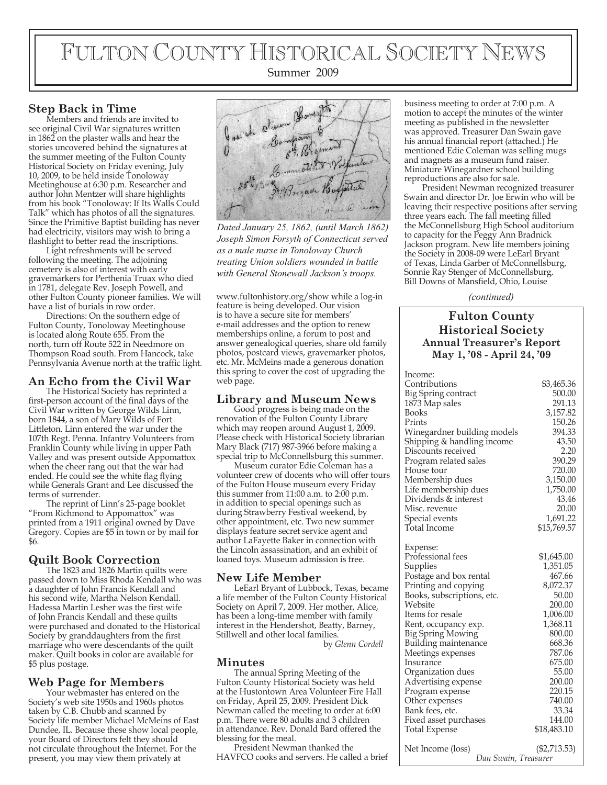# FULTON COUNTY HISTORICAL SOCIETY NEWS

## Summer 2009

# **Step Back in Time**

Members and friends are invited to see original Civil War signatures written in 1862 on the plaster walls and hear the stories uncovered behind the signatures at the summer meeting of the Fulton County Historical Society on Friday evening, July 10, 2009, to be held inside Tonoloway Meetinghouse at 6:30 p.m. Researcher and author John Mentzer will share highlights from his book "Tonoloway: If Its Walls Could Talk" which has photos of all the signatures. Since the Primitive Baptist building has never had electricity, visitors may wish to bring a flashlight to better read the inscriptions.

Light refreshments will be served following the meeting. The adjoining cemetery is also of interest with early gravemarkers for Perthenia Truax who died in 1781, delegate Rev. Joseph Powell, and other Fulton County pioneer families. We will have a list of burials in row order.

Directions: On the southern edge of Fulton County, Tonoloway Meetinghouse is located along Route 655. From the north, turn off Route 522 in Needmore on Thompson Road south. From Hancock, take Pennsylvania Avenue north at the traffic light.

## **An Echo from the Civil War**

The Historical Society has reprinted a first-person account of the final days of the Civil War written by George Wilds Linn, born 1844, a son of Mary Wilds of Fort Littleton. Linn entered the war under the 107th Regt. Penna. Infantry Volunteers from Franklin County while living in upper Path Valley and was present outside Appomattox when the cheer rang out that the war had ended. He could see the white flag flying while Generals Grant and Lee discussed the terms of surrender.

The reprint of Linn's 25-page booklet "From Richmond to Appomattox" was printed from a 1911 original owned by Dave Gregory. Copies are \$5 in town or by mail for \$6.

# **Quilt Book Correction**

The 1823 and 1826 Martin quilts were passed down to Miss Rhoda Kendall who was a daughter of John Francis Kendall and his second wife, Martha Nelson Kendall. Hadessa Martin Lesher was the first wife of John Francis Kendall and these quilts were purchased and donated to the Historical Society by granddaughters from the first marriage who were descendants of the quilt maker. Quilt books in color are available for \$5 plus postage.

# **Web Page for Members**

Your webmaster has entered on the Society's web site 1950s and 1960s photos taken by C.B. Chubb and scanned by Society life member Michael McMeins of East Dundee, IL. Because these show local people, your Board of Directors felt they should not circulate throughout the Internet. For the present, you may view them privately at



*Dated January 25, 1862, (until March 1862) Joseph Simon Forsyth of Connecticut served as a male nurse in Tonoloway Church treating Union soldiers wounded in battle with General Stonewall Jackson's troops.*

www.fultonhistory.org/show while a log-in feature is being developed. Our vision is to have a secure site for members' e-mail addresses and the option to renew memberships online, a forum to post and answer genealogical queries, share old family photos, postcard views, gravemarker photos, etc. Mr. McMeins made a generous donation this spring to cover the cost of upgrading the web page.

# **Library and Museum News**

Good progress is being made on the renovation of the Fulton County Library which may reopen around August 1, 2009. Please check with Historical Society librarian Mary Black (717) 987-3966 before making a special trip to McConnellsburg this summer.

Museum curator Edie Coleman has a volunteer crew of docents who will offer tours of the Fulton House museum every Friday this summer from 11:00 a.m. to 2:00 p.m. in addition to special openings such as during Strawberry Festival weekend, by other appointment, etc. Two new summer displays feature secret service agent and author LaFayette Baker in connection with the Lincoln assassination, and an exhibit of loaned toys. Museum admission is free.

# **New Life Member**

LeEarl Bryant of Lubbock, Texas, became a life member of the Fulton County Historical Society on April 7, 2009. Her mother, Alice, has been a long-time member with family interest in the Hendershot, Beatty, Barney, Stillwell and other local families.

by *Glenn Cordell*

## **Minutes**

The annual Spring Meeting of the Fulton County Historical Society was held at the Hustontown Area Volunteer Fire Hall on Friday, April 25, 2009. President Dick Newman called the meeting to order at 6:00 p.m. There were 80 adults and 3 children in attendance. Rev. Donald Bard offered the blessing for the meal.

President Newman thanked the HAVFCO cooks and servers. He called a brief business meeting to order at 7:00 p.m. A motion to accept the minutes of the winter meeting as published in the newsletter was approved. Treasurer Dan Swain gave his annual financial report (attached.) He mentioned Edie Coleman was selling mugs and magnets as a museum fund raiser. Miniature Winegardner school building reproductions are also for sale.

President Newman recognized treasurer Swain and director Dr. Joe Erwin who will be leaving their respective positions after serving three years each. The fall meeting filled the McConnellsburg High School auditorium to capacity for the Peggy Ann Bradnick Jackson program. New life members joining the Society in 2008-09 were LeEarl Bryant of Texas, Linda Garber of McConnellsburg, Sonnie Ray Stenger of McConnellsburg, Bill Downs of Mansfield, Ohio, Louise

*(continued)*

# **Fulton County Historical Society Annual Treasurer's Report May 1, '08 - April 24, '09**

| Income:                     |                |
|-----------------------------|----------------|
| Contributions               | \$3,465.36     |
| Big Spring contract         | 500.00         |
| 1873 Map sales              | 291.13         |
| <b>Books</b>                | 3,157.82       |
| Prints                      | 150.26         |
| Winegardner building models | 394.33         |
| Shipping & handling income  | 43.50          |
| Discounts received          | 2.20           |
| Program related sales       | 390.29         |
| House tour                  | 720.00         |
| Membership dues             | 3,150.00       |
| Life membership dues        | 1,750.00       |
| Dividends & interest        | 43.46          |
| Misc. revenue               | 20.00          |
| Special events              | 1,691.22       |
| Total Income                | \$15,769.57    |
| Expense:                    |                |
| Professional fees           | \$1,645.00     |
| Supplies                    | 1,351.05       |
| Postage and box rental      | 467.66         |
| Printing and copying        | 8,072.37       |
| Books, subscriptions, etc.  | 50.00          |
| Website                     | 200.00         |
| Items for resale            | 1,006.00       |
| Rent, occupancy exp.        | 1,368.11       |
| <b>Big Spring Mowing</b>    | 800.00         |
| Building maintenance        | 668.36         |
| Meetings expenses           | 787.06         |
| Insurance                   | 675.00         |
| Organization dues           | 55.00          |
| Advertising expense         | 200.00         |
| Program expense             | 220.15         |
| Other expenses              | 740.00         |
| Bank fees, etc.             | 33.34          |
| Fixed asset purchases       | 144.00         |
| <b>Total Expense</b>        | \$18,483.10    |
| Net Income (loss)           | $(\$2,713.53)$ |
| Dan Swain, Treasurer        |                |